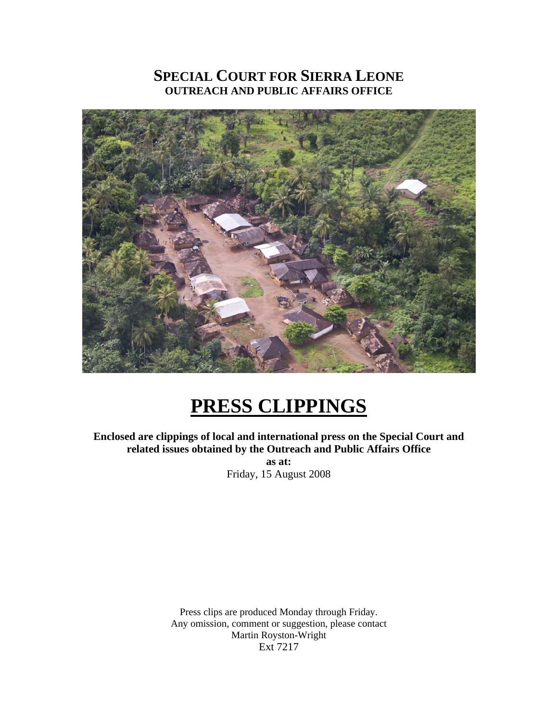# **SPECIAL COURT FOR SIERRA LEONE OUTREACH AND PUBLIC AFFAIRS OFFICE**



# **PRESS CLIPPINGS**

**Enclosed are clippings of local and international press on the Special Court and related issues obtained by the Outreach and Public Affairs Office as at:**  Friday, 15 August 2008

> Press clips are produced Monday through Friday. Any omission, comment or suggestion, please contact Martin Royston-Wright Ext 7217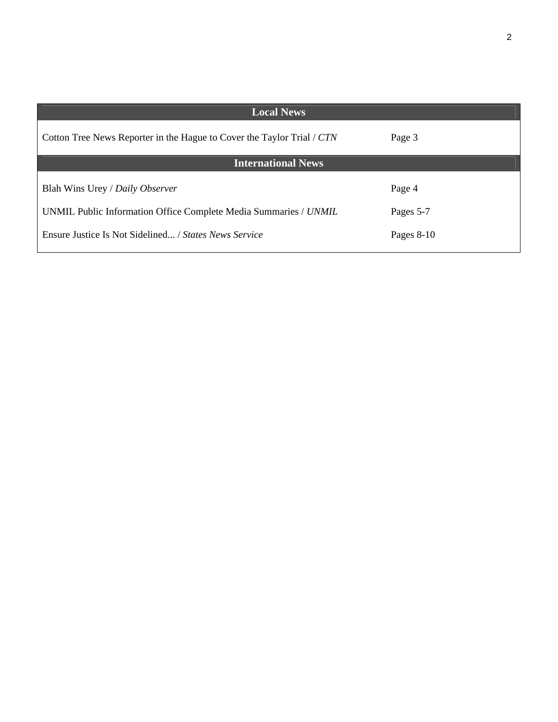| <b>Local News</b>                                                      |              |
|------------------------------------------------------------------------|--------------|
| Cotton Tree News Reporter in the Hague to Cover the Taylor Trial / CTN | Page 3       |
| <b>International News</b>                                              |              |
| Blah Wins Urey / Daily Observer                                        | Page 4       |
| UNMIL Public Information Office Complete Media Summaries / UNMIL       | Pages 5-7    |
| Ensure Justice Is Not Sidelined / States News Service                  | Pages $8-10$ |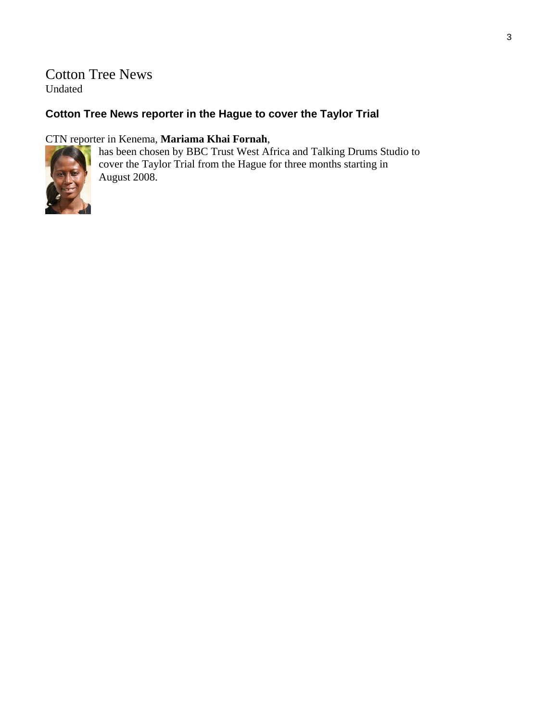# Cotton Tree News Undated

# **Cotton Tree News reporter in the Hague to cover the Taylor Trial**

## CTN reporter in Kenema, **Mariama Khai Fornah**,



has been chosen by BBC Trust West Africa and Talking Drums Studio to cover the Taylor Trial from the Hague for three months starting in August 2008.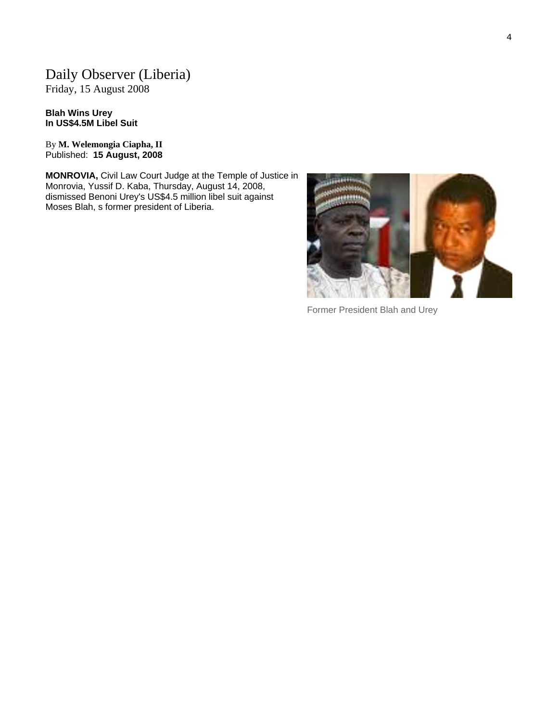# Daily Observer (Liberia)

Friday, 15 August 2008

**Blah Wins Urey In US\$4.5M Libel Suit**

By **M. Welemongia Ciapha, II** Published: **15 August, 2008**

**MONROVIA,** Civil Law Court Judge at the Temple of Justice in Monrovia, Yussif D. Kaba, Thursday, August 14, 2008, dismissed Benoni Urey's US\$4.5 million libel suit against Moses Blah, s former president of Liberia.



Former President Blah and Urey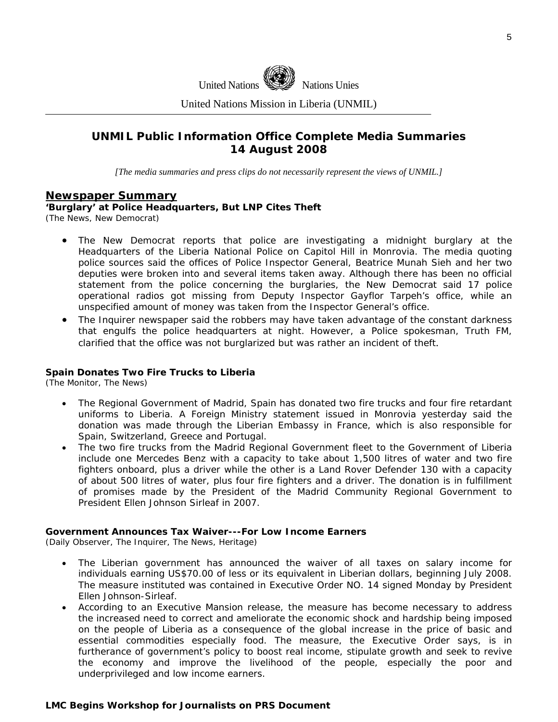

United Nations Mission in Liberia (UNMIL)

## **UNMIL Public Information Office Complete Media Summaries 14 August 2008**

*[The media summaries and press clips do not necessarily represent the views of UNMIL.]* 

#### **Newspaper Summary**

**'Burglary' at Police Headquarters, But LNP Cites Theft**

(The News, New Democrat)

- The New Democrat reports that police are investigating a midnight burglary at the Headquarters of the Liberia National Police on Capitol Hill in Monrovia. The media quoting police sources said the offices of Police Inspector General, Beatrice Munah Sieh and her two deputies were broken into and several items taken away. Although there has been no official statement from the police concerning the burglaries, the New Democrat said 17 police operational radios got missing from Deputy Inspector Gayflor Tarpeh's office, while an unspecified amount of money was taken from the Inspector General's office.
- The Inquirer newspaper said the robbers may have taken advantage of the constant darkness that engulfs the police headquarters at night. However, a Police spokesman, Truth FM, clarified that the office was not burglarized but was rather an incident of theft.

#### **Spain Donates Two Fire Trucks to Liberia**

(The Monitor, The News)

- The Regional Government of Madrid, Spain has donated two fire trucks and four fire retardant uniforms to Liberia. A Foreign Ministry statement issued in Monrovia yesterday said the donation was made through the Liberian Embassy in France, which is also responsible for Spain, Switzerland, Greece and Portugal.
- The two fire trucks from the Madrid Regional Government fleet to the Government of Liberia include one Mercedes Benz with a capacity to take about 1,500 litres of water and two fire fighters onboard, plus a driver while the other is a Land Rover Defender 130 with a capacity of about 500 litres of water, plus four fire fighters and a driver. The donation is in fulfillment of promises made by the President of the Madrid Community Regional Government to President Ellen Johnson Sirleaf in 2007.

#### **Government Announces Tax Waiver---For Low Income Earners**

(Daily Observer, The Inquirer, The News, Heritage)

- The Liberian government has announced the waiver of all taxes on salary income for individuals earning US\$70.00 of less or its equivalent in Liberian dollars, beginning July 2008. The measure instituted was contained in Executive Order NO. 14 signed Monday by President Ellen Johnson-Sirleaf.
- According to an Executive Mansion release, the measure has become necessary to address the increased need to correct and ameliorate the economic shock and hardship being imposed on the people of Liberia as a consequence of the global increase in the price of basic and essential commodities especially food. The measure, the Executive Order says, is in furtherance of government's policy to boost real income, stipulate growth and seek to revive the economy and improve the livelihood of the people, especially the poor and underprivileged and low income earners.

#### **LMC Begins Workshop for Journalists on PRS Document**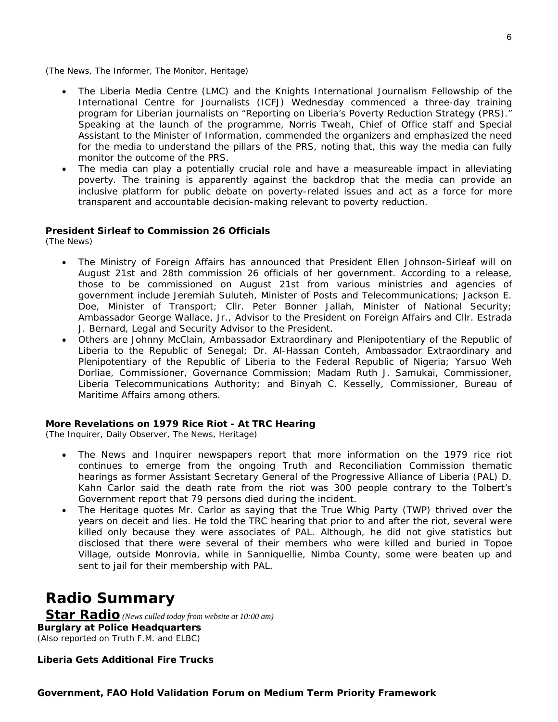(The News, The Informer, The Monitor, Heritage)

- The Liberia Media Centre (LMC) and the Knights International Journalism Fellowship of the International Centre for Journalists (ICFJ) Wednesday commenced a three-day training program for Liberian journalists on "Reporting on Liberia's Poverty Reduction Strategy (PRS)." Speaking at the launch of the programme, Norris Tweah, Chief of Office staff and Special Assistant to the Minister of Information, commended the organizers and emphasized the need for the media to understand the pillars of the PRS, noting that, this way the media can fully monitor the outcome of the PRS.
- The media can play a potentially crucial role and have a measureable impact in alleviating poverty. The training is apparently against the backdrop that the media can provide an inclusive platform for public debate on poverty-related issues and act as a force for more transparent and accountable decision-making relevant to poverty reduction.

#### **President Sirleaf to Commission 26 Officials**

(The News)

- The Ministry of Foreign Affairs has announced that President Ellen Johnson-Sirleaf will on August 21st and 28th commission 26 officials of her government. According to a release, those to be commissioned on August 21st from various ministries and agencies of government include Jeremiah Suluteh, Minister of Posts and Telecommunications; Jackson E. Doe, Minister of Transport; Cllr. Peter Bonner Jallah, Minister of National Security; Ambassador George Wallace, Jr., Advisor to the President on Foreign Affairs and Cllr. Estrada J. Bernard, Legal and Security Advisor to the President.
- Others are Johnny McClain, Ambassador Extraordinary and Plenipotentiary of the Republic of Liberia to the Republic of Senegal; Dr. Al-Hassan Conteh, Ambassador Extraordinary and Plenipotentiary of the Republic of Liberia to the Federal Republic of Nigeria; Yarsuo Weh Dorliae, Commissioner, Governance Commission; Madam Ruth J. Samukai, Commissioner, Liberia Telecommunications Authority; and Binyah C. Kesselly, Commissioner, Bureau of Maritime Affairs among others.

#### **More Revelations on 1979 Rice Riot - At TRC Hearing**

(The Inquirer, Daily Observer, The News, Heritage)

- The News and Inquirer newspapers report that more information on the 1979 rice riot continues to emerge from the ongoing Truth and Reconciliation Commission thematic hearings as former Assistant Secretary General of the Progressive Alliance of Liberia (PAL) D. Kahn Carlor said the death rate from the riot was 300 people contrary to the Tolbert's Government report that 79 persons died during the incident.
- The Heritage quotes Mr. Carlor as saying that the True Whig Party (TWP) thrived over the years on deceit and lies. He told the TRC hearing that prior to and after the riot, several were killed only because they were associates of PAL. Although, he did not give statistics but disclosed that there were several of their members who were killed and buried in Topoe Village, outside Monrovia, while in Sanniquellie, Nimba County, some were beaten up and sent to jail for their membership with PAL.

# **Radio Summary**

**Star Radio** *(News culled today from website at 10:00 am)*  **B urglary at Police Headquarters**  *(Also reported on Truth F.M. and ELBC)*

**Liberia Gets Additional Fire Trucks** 

6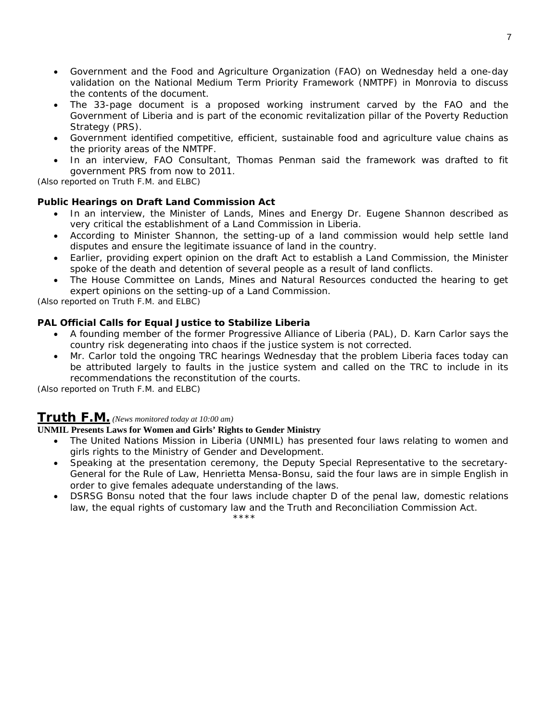- Government and the Food and Agriculture Organization (FAO) on Wednesday held a one-day validation on the National Medium Term Priority Framework (NMTPF) in Monrovia to discuss the contents of the document.
- The 33-page document is a proposed working instrument carved by the FAO and the Government of Liberia and is part of the economic revitalization pillar of the Poverty Reduction Strategy (PRS).
- Government identified competitive, efficient, sustainable food and agriculture value chains as the priority areas of the NMTPF.
- In an interview, FAO Consultant, Thomas Penman said the framework was drafted to fit government PRS from now to 2011.

*(Also reported on Truth F.M. and ELBC)* 

#### **Public Hearings on Draft Land Commission Act**

- In an interview, the Minister of Lands, Mines and Energy Dr. Eugene Shannon described as very critical the establishment of a Land Commission in Liberia.
- According to Minister Shannon, the setting-up of a land commission would help settle land disputes and ensure the legitimate issuance of land in the country.
- Earlier, providing expert opinion on the draft Act to establish a Land Commission, the Minister spoke of the death and detention of several people as a result of land conflicts.
- The House Committee on Lands, Mines and Natural Resources conducted the hearing to get expert opinions on the setting-up of a Land Commission.

*(Also reported on Truth F.M. and ELBC)*

#### **AL Official Calls for Equal Justice to Stabilize Liberia P**

- A founding member of the former Progressive Alliance of Liberia (PAL), D. Karn Carlor says the country risk degenerating into chaos if the justice system is not corrected.
- Mr. Carlor told the ongoing TRC hearings Wednesday that the problem Liberia faces today can be attributed largely to faults in the justice system and called on the TRC to include in its recommendations the reconstitution of the courts.

*(Also reported on Truth F.M. and ELBC)*

## **Truth F.M.** *(News monitored today at 10:00 am)*

#### UNMIL Presents Laws for Women and Girls' Rights to Gender Ministry

- The United Nations Mission in Liberia (UNMIL) has presented four laws relating to women and girls rights to the Ministry of Gender and Development.
- Speaking at the presentation ceremony, the Deputy Special Representative to the secretary-General for the Rule of Law, Henrietta Mensa-Bonsu, said the four laws are in simple English in order to give females adequate understanding of the laws.
- DSRSG Bonsu noted that the four laws include chapter D of the penal law, domestic relations law, the equal rights of customary law and the Truth and Reconciliation Commission Act. \*\*\*\*\*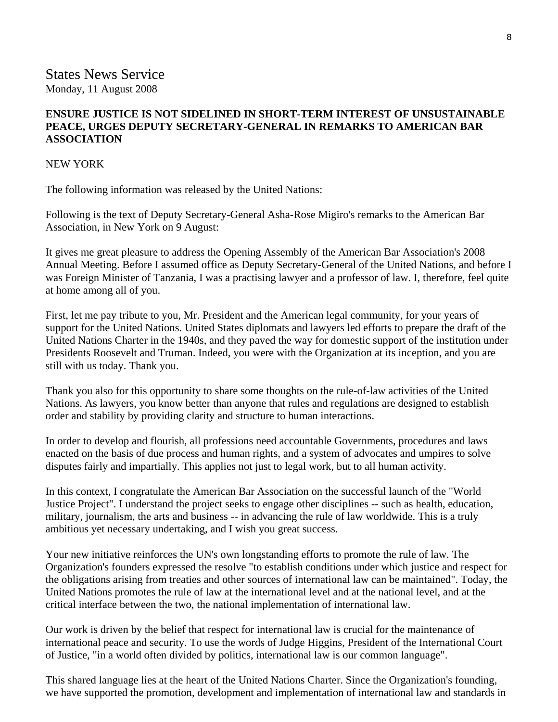### **ENSURE JUSTICE IS NOT SIDELINED IN SHORT-TERM INTEREST OF UNSUSTAINABLE PEACE, URGES DEPUTY SECRETARY-GENERAL IN REMARKS TO AMERICAN BAR ASSOCIATION**

#### NEW YORK

The following information was released by the United Nations:

Following is the text of Deputy Secretary-General Asha-Rose Migiro's remarks to the American Bar Association, in New York on 9 August:

It gives me great pleasure to address the Opening Assembly of the American Bar Association's 2008 Annual Meeting. Before I assumed office as Deputy Secretary-General of the United Nations, and before I was Foreign Minister of Tanzania, I was a practising lawyer and a professor of law. I, therefore, feel quite at home among all of you.

First, let me pay tribute to you, Mr. President and the American legal community, for your years of support for the United Nations. United States diplomats and lawyers led efforts to prepare the draft of the United Nations Charter in the 1940s, and they paved the way for domestic support of the institution under Presidents Roosevelt and Truman. Indeed, you were with the Organization at its inception, and you are still with us today. Thank you.

Thank you also for this opportunity to share some thoughts on the rule-of-law activities of the United Nations. As lawyers, you know better than anyone that rules and regulations are designed to establish order and stability by providing clarity and structure to human interactions.

In order to develop and flourish, all professions need accountable Governments, procedures and laws enacted on the basis of due process and human rights, and a system of advocates and umpires to solve disputes fairly and impartially. This applies not just to legal work, but to all human activity.

In this context, I congratulate the American Bar Association on the successful launch of the "World Justice Project". I understand the project seeks to engage other disciplines -- such as health, education, military, journalism, the arts and business -- in advancing the rule of law worldwide. This is a truly ambitious yet necessary undertaking, and I wish you great success.

Your new initiative reinforces the UN's own longstanding efforts to promote the rule of law. The Organization's founders expressed the resolve "to establish conditions under which justice and respect for the obligations arising from treaties and other sources of international law can be maintained". Today, the United Nations promotes the rule of law at the international level and at the national level, and at the critical interface between the two, the national implementation of international law.

Our work is driven by the belief that respect for international law is crucial for the maintenance of international peace and security. To use the words of Judge Higgins, President of the International Court of Justice, "in a world often divided by politics, international law is our common language".

This shared language lies at the heart of the United Nations Charter. Since the Organization's founding, we have supported the promotion, development and implementation of international law and standards in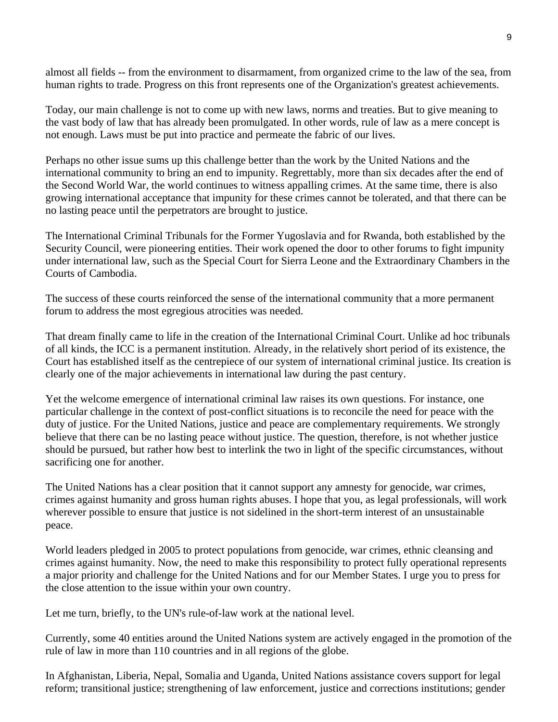almost all fields -- from the environment to disarmament, from organized crime to the law of the sea, from human rights to trade. Progress on this front represents one of the Organization's greatest achievements.

Today, our main challenge is not to come up with new laws, norms and treaties. But to give meaning to the vast body of law that has already been promulgated. In other words, rule of law as a mere concept is not enough. Laws must be put into practice and permeate the fabric of our lives.

Perhaps no other issue sums up this challenge better than the work by the United Nations and the international community to bring an end to impunity. Regrettably, more than six decades after the end of the Second World War, the world continues to witness appalling crimes. At the same time, there is also growing international acceptance that impunity for these crimes cannot be tolerated, and that there can be no lasting peace until the perpetrators are brought to justice.

The International Criminal Tribunals for the Former Yugoslavia and for Rwanda, both established by the Security Council, were pioneering entities. Their work opened the door to other forums to fight impunity under international law, such as the Special Court for Sierra Leone and the Extraordinary Chambers in the Courts of Cambodia.

The success of these courts reinforced the sense of the international community that a more permanent forum to address the most egregious atrocities was needed.

That dream finally came to life in the creation of the International Criminal Court. Unlike ad hoc tribunals of all kinds, the ICC is a permanent institution. Already, in the relatively short period of its existence, the Court has established itself as the centrepiece of our system of international criminal justice. Its creation is clearly one of the major achievements in international law during the past century.

Yet the welcome emergence of international criminal law raises its own questions. For instance, one particular challenge in the context of post-conflict situations is to reconcile the need for peace with the duty of justice. For the United Nations, justice and peace are complementary requirements. We strongly believe that there can be no lasting peace without justice. The question, therefore, is not whether justice should be pursued, but rather how best to interlink the two in light of the specific circumstances, without sacrificing one for another.

The United Nations has a clear position that it cannot support any amnesty for genocide, war crimes, crimes against humanity and gross human rights abuses. I hope that you, as legal professionals, will work wherever possible to ensure that justice is not sidelined in the short-term interest of an unsustainable peace.

World leaders pledged in 2005 to protect populations from genocide, war crimes, ethnic cleansing and crimes against humanity. Now, the need to make this responsibility to protect fully operational represents a major priority and challenge for the United Nations and for our Member States. I urge you to press for the close attention to the issue within your own country.

Let me turn, briefly, to the UN's rule-of-law work at the national level.

Currently, some 40 entities around the United Nations system are actively engaged in the promotion of the rule of law in more than 110 countries and in all regions of the globe.

In Afghanistan, Liberia, Nepal, Somalia and Uganda, United Nations assistance covers support for legal reform; transitional justice; strengthening of law enforcement, justice and corrections institutions; gender